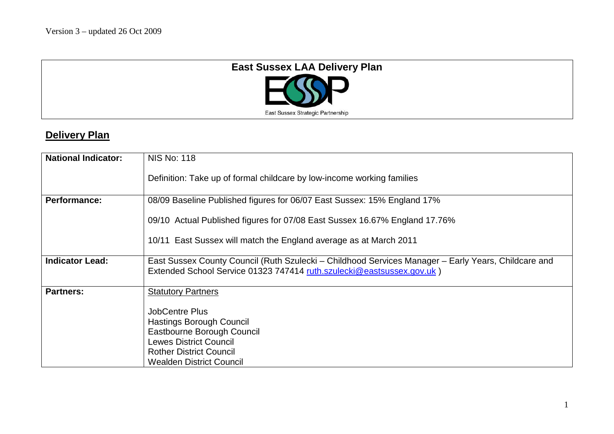

## **Delivery Plan**

| <b>National Indicator:</b> | <b>NIS No: 118</b>                                                                                                                                                                           |  |  |  |  |  |
|----------------------------|----------------------------------------------------------------------------------------------------------------------------------------------------------------------------------------------|--|--|--|--|--|
|                            | Definition: Take up of formal childcare by low-income working families                                                                                                                       |  |  |  |  |  |
| <b>Performance:</b>        | 08/09 Baseline Published figures for 06/07 East Sussex: 15% England 17%                                                                                                                      |  |  |  |  |  |
|                            | 09/10 Actual Published figures for 07/08 East Sussex 16.67% England 17.76%                                                                                                                   |  |  |  |  |  |
|                            | 10/11 East Sussex will match the England average as at March 2011                                                                                                                            |  |  |  |  |  |
| <b>Indicator Lead:</b>     | East Sussex County Council (Ruth Szulecki – Childhood Services Manager – Early Years, Childcare and<br>Extended School Service 01323 747414 ruth.szulecki@eastsussex.gov.uk)                 |  |  |  |  |  |
| <b>Partners:</b>           | <b>Statutory Partners</b>                                                                                                                                                                    |  |  |  |  |  |
|                            | <b>JobCentre Plus</b><br><b>Hastings Borough Council</b><br>Eastbourne Borough Council<br><b>Lewes District Council</b><br><b>Rother District Council</b><br><b>Wealden District Council</b> |  |  |  |  |  |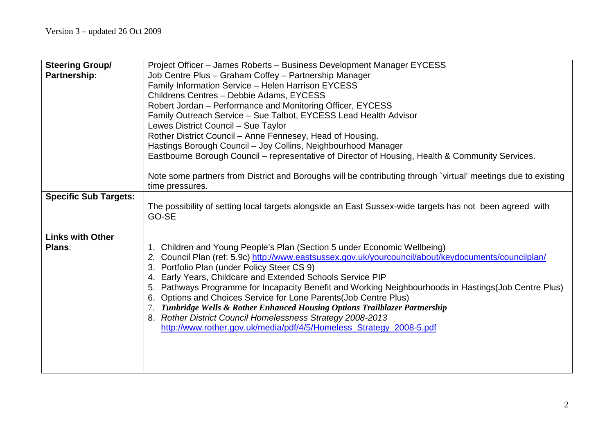| <b>Steering Group/</b>       | Project Officer - James Roberts - Business Development Manager EYCESS                                                            |  |  |  |  |  |
|------------------------------|----------------------------------------------------------------------------------------------------------------------------------|--|--|--|--|--|
| Partnership:                 | Job Centre Plus - Graham Coffey - Partnership Manager                                                                            |  |  |  |  |  |
|                              | Family Information Service - Helen Harrison EYCESS                                                                               |  |  |  |  |  |
|                              | Childrens Centres - Debbie Adams, EYCESS                                                                                         |  |  |  |  |  |
|                              | Robert Jordan - Performance and Monitoring Officer, EYCESS                                                                       |  |  |  |  |  |
|                              | Family Outreach Service - Sue Talbot, EYCESS Lead Health Advisor                                                                 |  |  |  |  |  |
|                              | Lewes District Council - Sue Taylor                                                                                              |  |  |  |  |  |
|                              | Rother District Council - Anne Fennesey, Head of Housing.                                                                        |  |  |  |  |  |
|                              | Hastings Borough Council - Joy Collins, Neighbourhood Manager                                                                    |  |  |  |  |  |
|                              | Eastbourne Borough Council – representative of Director of Housing, Health & Community Services.                                 |  |  |  |  |  |
|                              |                                                                                                                                  |  |  |  |  |  |
|                              | Note some partners from District and Boroughs will be contributing through `virtual' meetings due to existing<br>time pressures. |  |  |  |  |  |
| <b>Specific Sub Targets:</b> |                                                                                                                                  |  |  |  |  |  |
|                              | The possibility of setting local targets alongside an East Sussex-wide targets has not been agreed with<br>GO-SE                 |  |  |  |  |  |
|                              |                                                                                                                                  |  |  |  |  |  |
| <b>Links with Other</b>      |                                                                                                                                  |  |  |  |  |  |
| Plans:                       | 1. Children and Young People's Plan (Section 5 under Economic Wellbeing)                                                         |  |  |  |  |  |
|                              | 2. Council Plan (ref: 5.9c) http://www.eastsussex.gov.uk/yourcouncil/about/keydocuments/councilplan/                             |  |  |  |  |  |
|                              | 3. Portfolio Plan (under Policy Steer CS 9)                                                                                      |  |  |  |  |  |
|                              | Early Years, Childcare and Extended Schools Service PIP<br>4.                                                                    |  |  |  |  |  |
|                              | Pathways Programme for Incapacity Benefit and Working Neighbourhoods in Hastings (Job Centre Plus)<br>5.                         |  |  |  |  |  |
|                              | Options and Choices Service for Lone Parents (Job Centre Plus)                                                                   |  |  |  |  |  |
|                              | Tunbridge Wells & Rother Enhanced Housing Options Trailblazer Partnership                                                        |  |  |  |  |  |
|                              | 8. Rother District Council Homelessness Strategy 2008-2013                                                                       |  |  |  |  |  |
|                              | http://www.rother.gov.uk/media/pdf/4/5/Homeless_Strategy_2008-5.pdf                                                              |  |  |  |  |  |
|                              |                                                                                                                                  |  |  |  |  |  |
|                              |                                                                                                                                  |  |  |  |  |  |
|                              |                                                                                                                                  |  |  |  |  |  |
|                              |                                                                                                                                  |  |  |  |  |  |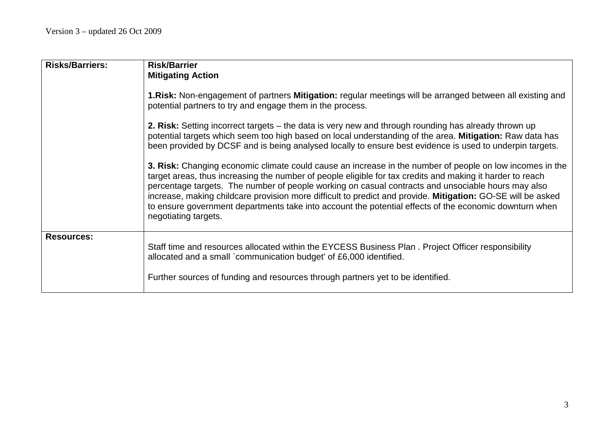| <b>Risks/Barriers:</b> | <b>Risk/Barrier</b>                                                                                                                                                                                                                                                                                                                                                                                                                                                                                                                                                          |  |  |  |  |  |
|------------------------|------------------------------------------------------------------------------------------------------------------------------------------------------------------------------------------------------------------------------------------------------------------------------------------------------------------------------------------------------------------------------------------------------------------------------------------------------------------------------------------------------------------------------------------------------------------------------|--|--|--|--|--|
|                        | <b>Mitigating Action</b>                                                                                                                                                                                                                                                                                                                                                                                                                                                                                                                                                     |  |  |  |  |  |
|                        | 1. Risk: Non-engagement of partners Mitigation: regular meetings will be arranged between all existing and<br>potential partners to try and engage them in the process.                                                                                                                                                                                                                                                                                                                                                                                                      |  |  |  |  |  |
|                        | 2. Risk: Setting incorrect targets – the data is very new and through rounding has already thrown up<br>potential targets which seem too high based on local understanding of the area. Mitigation: Raw data has<br>been provided by DCSF and is being analysed locally to ensure best evidence is used to underpin targets.                                                                                                                                                                                                                                                 |  |  |  |  |  |
|                        | 3. Risk: Changing economic climate could cause an increase in the number of people on low incomes in the<br>target areas, thus increasing the number of people eligible for tax credits and making it harder to reach<br>percentage targets. The number of people working on casual contracts and unsociable hours may also<br>increase, making childcare provision more difficult to predict and provide. Mitigation: GO-SE will be asked<br>to ensure government departments take into account the potential effects of the economic downturn when<br>negotiating targets. |  |  |  |  |  |
| <b>Resources:</b>      | Staff time and resources allocated within the EYCESS Business Plan. Project Officer responsibility<br>allocated and a small `communication budget' of £6,000 identified.                                                                                                                                                                                                                                                                                                                                                                                                     |  |  |  |  |  |
|                        | Further sources of funding and resources through partners yet to be identified.                                                                                                                                                                                                                                                                                                                                                                                                                                                                                              |  |  |  |  |  |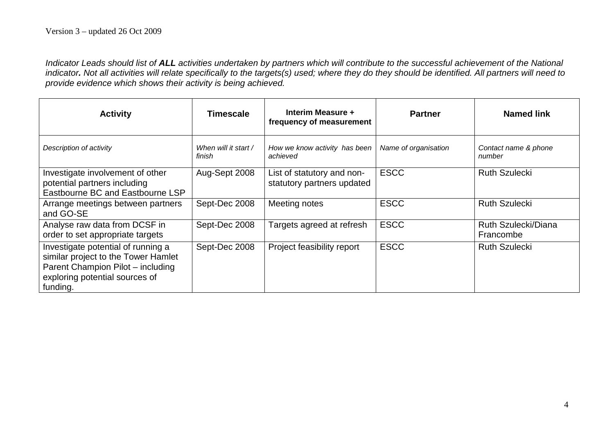*Indicator Leads should list of ALL activities undertaken by partners which will contribute to the successful achievement of the National indicator. Not all activities will relate specifically to the targets(s) used; where they do they should be identified. All partners will need to provide evidence which shows their activity is being achieved.*

| <b>Activity</b>                                                                                                                                              | <b>Timescale</b>               | Interim Measure +<br>frequency of measurement            | <b>Partner</b>       | <b>Named link</b>                       |
|--------------------------------------------------------------------------------------------------------------------------------------------------------------|--------------------------------|----------------------------------------------------------|----------------------|-----------------------------------------|
| Description of activity                                                                                                                                      | When will it start /<br>finish | How we know activity has been<br>achieved                | Name of organisation | Contact name & phone<br>number          |
| Investigate involvement of other<br>potential partners including<br>Eastbourne BC and Eastbourne LSP                                                         | Aug-Sept 2008                  | List of statutory and non-<br>statutory partners updated | <b>ESCC</b>          | <b>Ruth Szulecki</b>                    |
| Arrange meetings between partners<br>and GO-SE                                                                                                               | Sept-Dec 2008                  | Meeting notes                                            | <b>ESCC</b>          | <b>Ruth Szulecki</b>                    |
| Analyse raw data from DCSF in<br>order to set appropriate targets                                                                                            | Sept-Dec 2008                  | Targets agreed at refresh                                | <b>ESCC</b>          | <b>Ruth Szulecki/Diana</b><br>Francombe |
| Investigate potential of running a<br>similar project to the Tower Hamlet<br>Parent Champion Pilot - including<br>exploring potential sources of<br>funding. | Sept-Dec 2008                  | Project feasibility report                               | <b>ESCC</b>          | <b>Ruth Szulecki</b>                    |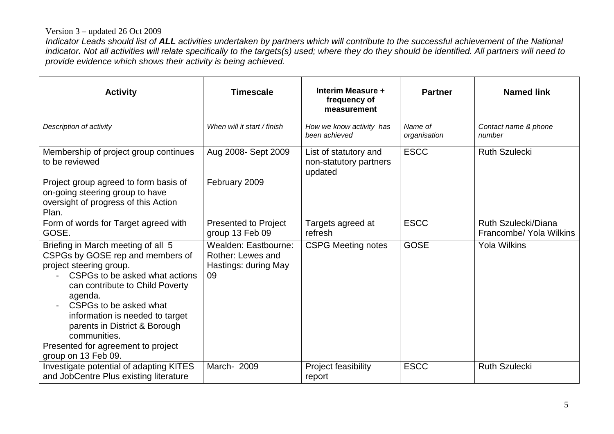## Version 3 – updated 26 Oct 2009

*Indicator Leads should list of ALL activities undertaken by partners which will contribute to the successful achievement of the National indicator. Not all activities will relate specifically to the targets(s) used; where they do they should be identified. All partners will need to provide evidence which shows their activity is being achieved.*

| <b>Activity</b>                                                                                                                                                                                                                                                                                                                       | <b>Timescale</b>                                                        | Interim Measure +<br>frequency of<br>measurement           | <b>Partner</b>          | <b>Named link</b>                              |
|---------------------------------------------------------------------------------------------------------------------------------------------------------------------------------------------------------------------------------------------------------------------------------------------------------------------------------------|-------------------------------------------------------------------------|------------------------------------------------------------|-------------------------|------------------------------------------------|
| Description of activity                                                                                                                                                                                                                                                                                                               | When will it start / finish                                             | How we know activity has<br>been achieved                  | Name of<br>organisation | Contact name & phone<br>number                 |
| Membership of project group continues<br>to be reviewed                                                                                                                                                                                                                                                                               | Aug 2008- Sept 2009                                                     | List of statutory and<br>non-statutory partners<br>updated | <b>ESCC</b>             | <b>Ruth Szulecki</b>                           |
| Project group agreed to form basis of<br>on-going steering group to have<br>oversight of progress of this Action<br>Plan.                                                                                                                                                                                                             | February 2009                                                           |                                                            |                         |                                                |
| Form of words for Target agreed with<br>GOSE.                                                                                                                                                                                                                                                                                         | Presented to Project<br>group 13 Feb 09                                 | Targets agreed at<br>refresh                               | <b>ESCC</b>             | Ruth Szulecki/Diana<br>Francombe/ Yola Wilkins |
| Briefing in March meeting of all 5<br>CSPGs by GOSE rep and members of<br>project steering group.<br>CSPGs to be asked what actions<br>can contribute to Child Poverty<br>agenda.<br>CSPGs to be asked what<br>information is needed to target<br>parents in District & Borough<br>communities.<br>Presented for agreement to project | Wealden: Eastbourne:<br>Rother: Lewes and<br>Hastings: during May<br>09 | <b>CSPG Meeting notes</b>                                  | <b>GOSE</b>             | <b>Yola Wilkins</b>                            |
| group on 13 Feb 09.                                                                                                                                                                                                                                                                                                                   |                                                                         |                                                            |                         |                                                |
| Investigate potential of adapting KITES<br>and JobCentre Plus existing literature                                                                                                                                                                                                                                                     | March- 2009                                                             | Project feasibility<br>report                              | <b>ESCC</b>             | <b>Ruth Szulecki</b>                           |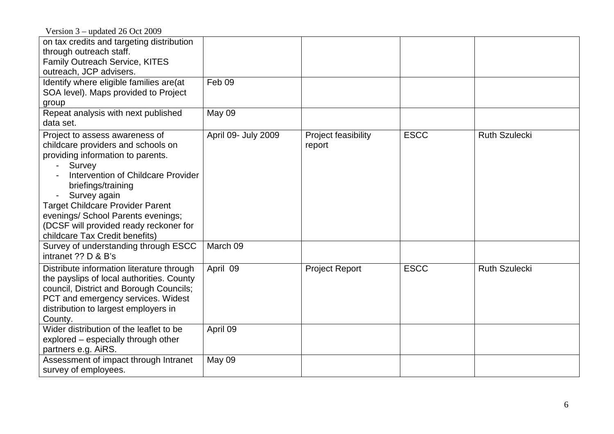Version 3 – updated 26 Oct 2009

| $\alpha \beta$ and $\alpha = 0$ over                                                                                                                                                                                                                                                                                                                         |                     |                               |             |                      |
|--------------------------------------------------------------------------------------------------------------------------------------------------------------------------------------------------------------------------------------------------------------------------------------------------------------------------------------------------------------|---------------------|-------------------------------|-------------|----------------------|
| on tax credits and targeting distribution<br>through outreach staff.                                                                                                                                                                                                                                                                                         |                     |                               |             |                      |
| Family Outreach Service, KITES                                                                                                                                                                                                                                                                                                                               |                     |                               |             |                      |
| outreach, JCP advisers.                                                                                                                                                                                                                                                                                                                                      |                     |                               |             |                      |
| Identify where eligible families are(at                                                                                                                                                                                                                                                                                                                      | Feb 09              |                               |             |                      |
| SOA level). Maps provided to Project                                                                                                                                                                                                                                                                                                                         |                     |                               |             |                      |
| group                                                                                                                                                                                                                                                                                                                                                        |                     |                               |             |                      |
| Repeat analysis with next published<br>data set.                                                                                                                                                                                                                                                                                                             | May 09              |                               |             |                      |
| Project to assess awareness of<br>childcare providers and schools on<br>providing information to parents.<br>Survey<br>Intervention of Childcare Provider<br>briefings/training<br>Survey again<br><b>Target Childcare Provider Parent</b><br>evenings/ School Parents evenings;<br>(DCSF will provided ready reckoner for<br>childcare Tax Credit benefits) | April 09- July 2009 | Project feasibility<br>report | <b>ESCC</b> | <b>Ruth Szulecki</b> |
| Survey of understanding through ESCC<br>intranet ?? D & B's                                                                                                                                                                                                                                                                                                  | March 09            |                               |             |                      |
| Distribute information literature through<br>the payslips of local authorities. County<br>council, District and Borough Councils;<br>PCT and emergency services. Widest<br>distribution to largest employers in<br>County.                                                                                                                                   | April 09            | <b>Project Report</b>         | <b>ESCC</b> | <b>Ruth Szulecki</b> |
| Wider distribution of the leaflet to be<br>explored – especially through other<br>partners e.g. AiRS.                                                                                                                                                                                                                                                        | April 09            |                               |             |                      |
| Assessment of impact through Intranet<br>survey of employees.                                                                                                                                                                                                                                                                                                | May 09              |                               |             |                      |